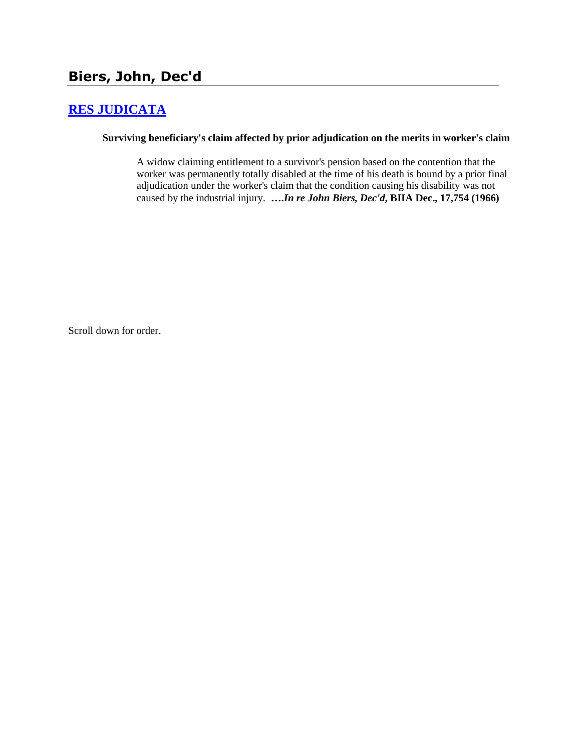# **[RES JUDICATA](http://www.biia.wa.gov/SDSubjectIndex.html#RES_JUDICATA)**

#### **Surviving beneficiary's claim affected by prior adjudication on the merits in worker's claim**

A widow claiming entitlement to a survivor's pension based on the contention that the worker was permanently totally disabled at the time of his death is bound by a prior final adjudication under the worker's claim that the condition causing his disability was not caused by the industrial injury. **….***In re John Biers, Dec'd***, BIIA Dec., 17,754 (1966)** 

Scroll down for order.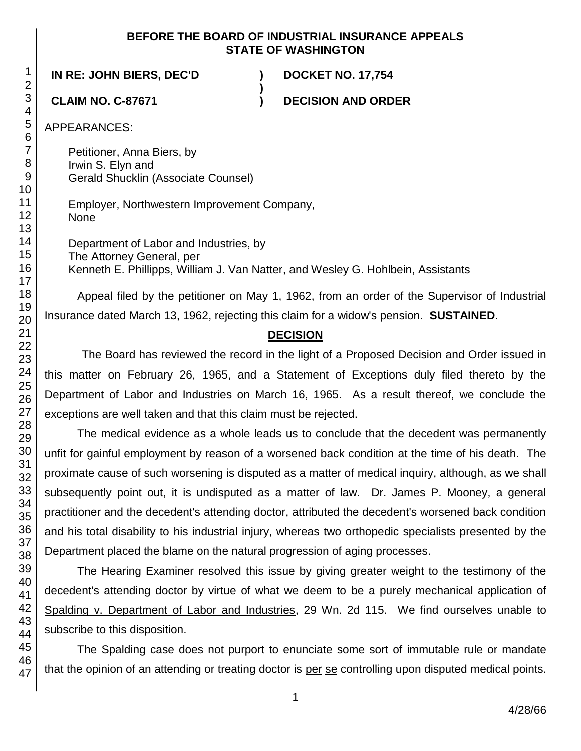#### **BEFORE THE BOARD OF INDUSTRIAL INSURANCE APPEALS STATE OF WASHINGTON**

**IN RE: JOHN BIERS, DEC'D ) DOCKET NO. 17,754**

**CLAIM NO. C-87671 ) DECISION AND ORDER**

APPEARANCES:

Petitioner, Anna Biers, by Irwin S. Elyn and Gerald Shucklin (Associate Counsel)

Employer, Northwestern Improvement Company, None

Department of Labor and Industries, by The Attorney General, per Kenneth E. Phillipps, William J. Van Natter, and Wesley G. Hohlbein, Assistants

**)**

Appeal filed by the petitioner on May 1, 1962, from an order of the Supervisor of Industrial Insurance dated March 13, 1962, rejecting this claim for a widow's pension. **SUSTAINED**.

## **DECISION**

The Board has reviewed the record in the light of a Proposed Decision and Order issued in this matter on February 26, 1965, and a Statement of Exceptions duly filed thereto by the Department of Labor and Industries on March 16, 1965. As a result thereof, we conclude the exceptions are well taken and that this claim must be rejected.

The medical evidence as a whole leads us to conclude that the decedent was permanently unfit for gainful employment by reason of a worsened back condition at the time of his death. The proximate cause of such worsening is disputed as a matter of medical inquiry, although, as we shall subsequently point out, it is undisputed as a matter of law. Dr. James P. Mooney, a general practitioner and the decedent's attending doctor, attributed the decedent's worsened back condition and his total disability to his industrial injury, whereas two orthopedic specialists presented by the Department placed the blame on the natural progression of aging processes.

The Hearing Examiner resolved this issue by giving greater weight to the testimony of the decedent's attending doctor by virtue of what we deem to be a purely mechanical application of Spalding v. Department of Labor and Industries, 29 Wn. 2d 115. We find ourselves unable to subscribe to this disposition.

The Spalding case does not purport to enunciate some sort of immutable rule or mandate that the opinion of an attending or treating doctor is per se controlling upon disputed medical points.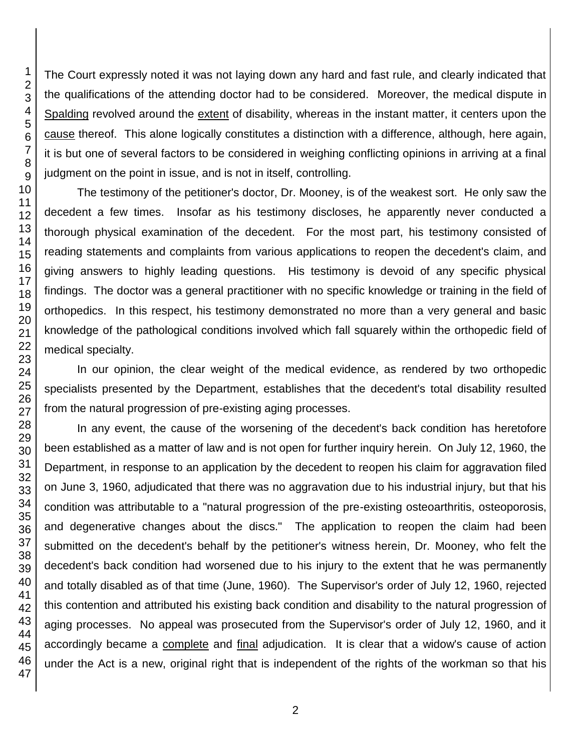The Court expressly noted it was not laying down any hard and fast rule, and clearly indicated that the qualifications of the attending doctor had to be considered. Moreover, the medical dispute in Spalding revolved around the extent of disability, whereas in the instant matter, it centers upon the cause thereof. This alone logically constitutes a distinction with a difference, although, here again, it is but one of several factors to be considered in weighing conflicting opinions in arriving at a final judgment on the point in issue, and is not in itself, controlling.

The testimony of the petitioner's doctor, Dr. Mooney, is of the weakest sort. He only saw the decedent a few times. Insofar as his testimony discloses, he apparently never conducted a thorough physical examination of the decedent. For the most part, his testimony consisted of reading statements and complaints from various applications to reopen the decedent's claim, and giving answers to highly leading questions. His testimony is devoid of any specific physical findings. The doctor was a general practitioner with no specific knowledge or training in the field of orthopedics. In this respect, his testimony demonstrated no more than a very general and basic knowledge of the pathological conditions involved which fall squarely within the orthopedic field of medical specialty.

In our opinion, the clear weight of the medical evidence, as rendered by two orthopedic specialists presented by the Department, establishes that the decedent's total disability resulted from the natural progression of pre-existing aging processes.

In any event, the cause of the worsening of the decedent's back condition has heretofore been established as a matter of law and is not open for further inquiry herein. On July 12, 1960, the Department, in response to an application by the decedent to reopen his claim for aggravation filed on June 3, 1960, adjudicated that there was no aggravation due to his industrial injury, but that his condition was attributable to a "natural progression of the pre-existing osteoarthritis, osteoporosis, and degenerative changes about the discs." The application to reopen the claim had been submitted on the decedent's behalf by the petitioner's witness herein, Dr. Mooney, who felt the decedent's back condition had worsened due to his injury to the extent that he was permanently and totally disabled as of that time (June, 1960). The Supervisor's order of July 12, 1960, rejected this contention and attributed his existing back condition and disability to the natural progression of aging processes. No appeal was prosecuted from the Supervisor's order of July 12, 1960, and it accordingly became a complete and final adjudication. It is clear that a widow's cause of action under the Act is a new, original right that is independent of the rights of the workman so that his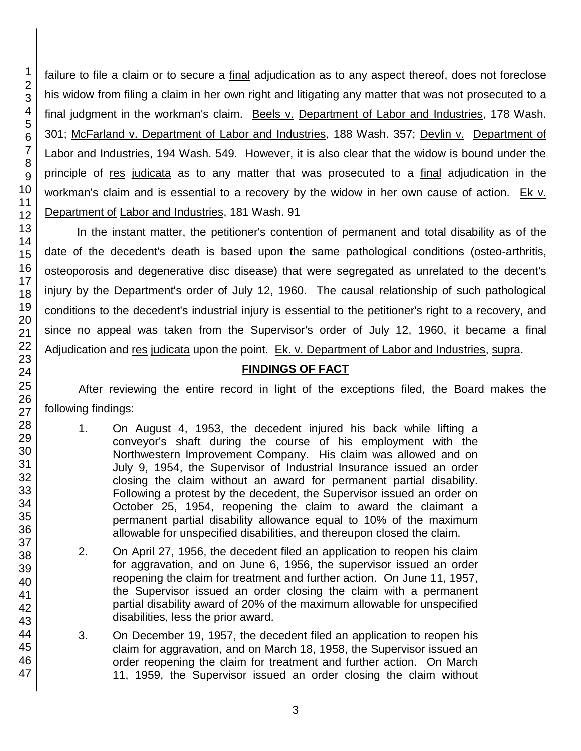failure to file a claim or to secure a final adjudication as to any aspect thereof, does not foreclose his widow from filing a claim in her own right and litigating any matter that was not prosecuted to a final judgment in the workman's claim. Beels v. Department of Labor and Industries, 178 Wash. 301; McFarland v. Department of Labor and Industries, 188 Wash. 357; Devlin v. Department of Labor and Industries, 194 Wash. 549. However, it is also clear that the widow is bound under the principle of res judicata as to any matter that was prosecuted to a final adjudication in the workman's claim and is essential to a recovery by the widow in her own cause of action. Ek v. Department of Labor and Industries, 181 Wash. 91

In the instant matter, the petitioner's contention of permanent and total disability as of the date of the decedent's death is based upon the same pathological conditions (osteo-arthritis, osteoporosis and degenerative disc disease) that were segregated as unrelated to the decent's injury by the Department's order of July 12, 1960. The causal relationship of such pathological conditions to the decedent's industrial injury is essential to the petitioner's right to a recovery, and since no appeal was taken from the Supervisor's order of July 12, 1960, it became a final Adjudication and res judicata upon the point. Ek. v. Department of Labor and Industries, supra.

### **FINDINGS OF FACT**

After reviewing the entire record in light of the exceptions filed, the Board makes the following findings:

- 1. On August 4, 1953, the decedent injured his back while lifting a conveyor's shaft during the course of his employment with the Northwestern Improvement Company. His claim was allowed and on July 9, 1954, the Supervisor of Industrial Insurance issued an order closing the claim without an award for permanent partial disability. Following a protest by the decedent, the Supervisor issued an order on October 25, 1954, reopening the claim to award the claimant a permanent partial disability allowance equal to 10% of the maximum allowable for unspecified disabilities, and thereupon closed the claim.
- 2. On April 27, 1956, the decedent filed an application to reopen his claim for aggravation, and on June 6, 1956, the supervisor issued an order reopening the claim for treatment and further action. On June 11, 1957, the Supervisor issued an order closing the claim with a permanent partial disability award of 20% of the maximum allowable for unspecified disabilities, less the prior award.
- 3. On December 19, 1957, the decedent filed an application to reopen his claim for aggravation, and on March 18, 1958, the Supervisor issued an order reopening the claim for treatment and further action. On March 11, 1959, the Supervisor issued an order closing the claim without

3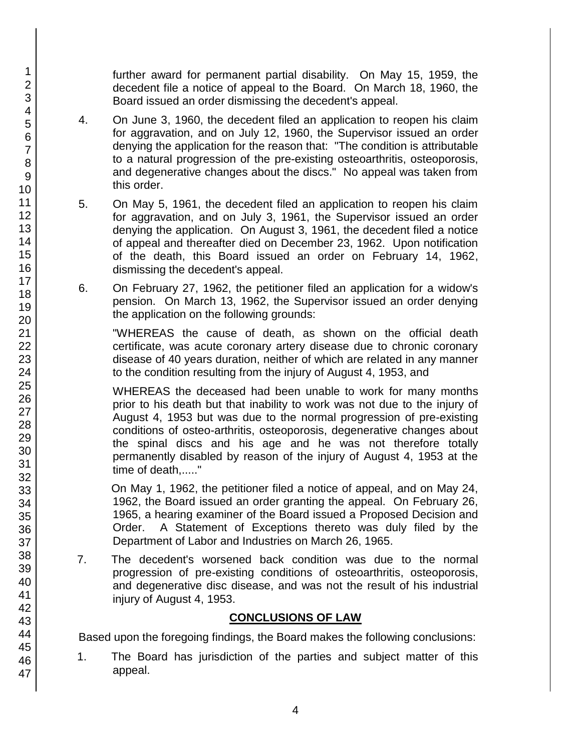further award for permanent partial disability. On May 15, 1959, the decedent file a notice of appeal to the Board. On March 18, 1960, the Board issued an order dismissing the decedent's appeal.

- 4. On June 3, 1960, the decedent filed an application to reopen his claim for aggravation, and on July 12, 1960, the Supervisor issued an order denying the application for the reason that: "The condition is attributable to a natural progression of the pre-existing osteoarthritis, osteoporosis, and degenerative changes about the discs." No appeal was taken from this order.
- 5. On May 5, 1961, the decedent filed an application to reopen his claim for aggravation, and on July 3, 1961, the Supervisor issued an order denying the application. On August 3, 1961, the decedent filed a notice of appeal and thereafter died on December 23, 1962. Upon notification of the death, this Board issued an order on February 14, 1962, dismissing the decedent's appeal.
- 6. On February 27, 1962, the petitioner filed an application for a widow's pension. On March 13, 1962, the Supervisor issued an order denying the application on the following grounds:

"WHEREAS the cause of death, as shown on the official death certificate, was acute coronary artery disease due to chronic coronary disease of 40 years duration, neither of which are related in any manner to the condition resulting from the injury of August 4, 1953, and

WHEREAS the deceased had been unable to work for many months prior to his death but that inability to work was not due to the injury of August 4, 1953 but was due to the normal progression of pre-existing conditions of osteo-arthritis, osteoporosis, degenerative changes about the spinal discs and his age and he was not therefore totally permanently disabled by reason of the injury of August 4, 1953 at the time of death,....."

On May 1, 1962, the petitioner filed a notice of appeal, and on May 24, 1962, the Board issued an order granting the appeal. On February 26, 1965, a hearing examiner of the Board issued a Proposed Decision and Order. A Statement of Exceptions thereto was duly filed by the Department of Labor and Industries on March 26, 1965.

7. The decedent's worsened back condition was due to the normal progression of pre-existing conditions of osteoarthritis, osteoporosis, and degenerative disc disease, and was not the result of his industrial injury of August 4, 1953.

## **CONCLUSIONS OF LAW**

Based upon the foregoing findings, the Board makes the following conclusions:

1. The Board has jurisdiction of the parties and subject matter of this appeal.